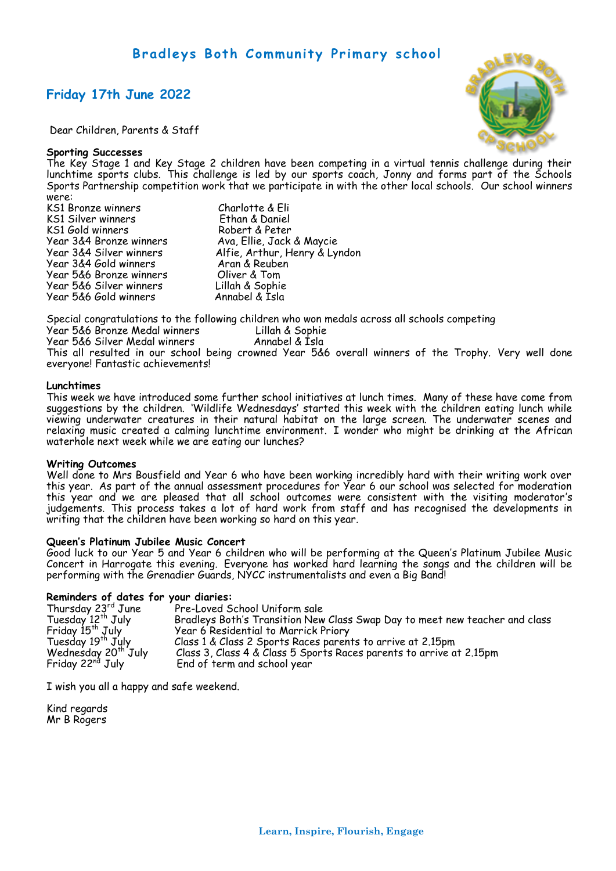# **Bradleys Both Community Primary school**

## **Friday 17th June 2022**

Dear Children, Parents & Staff

## **Sporting Successes**

The Key Stage 1 and Key Stage 2 children have been competing in a virtual tennis challenge during their lunchtime sports clubs. This challenge is led by our sports coach, Jonny and forms part of the Schools Sports Partnership competition work that we participate in with the other local schools. Our school winners were:

- KS1 Bronze winners Charlotte & Eli KS1 Silver winners KS1 Gold winners Robert & Peter Year 3&4 Gold winners Aran & Reuben Year 5&6 Bronze winners Oliver & Tom Year 5&6 Silver winners Year 5&6 Gold winners Annabel & Isla
- Year 3&4 Bronze winners Ava, Ellie, Jack & Maycie Year 3&4 Silver winners Alfie, Arthur, Henry & Lyndon

Special congratulations to the following children who won medals across all schools competing Year 5&6 Bronze Medal winners Lillah & Sophie Year 5&6 Silver Medal winners Annabel & Isla

This all resulted in our school being crowned Year 5&6 overall winners of the Trophy. Very well done everyone! Fantastic achievements!

### **Lunchtimes**

This week we have introduced some further school initiatives at lunch times. Many of these have come from suggestions by the children. 'Wildlife Wednesdays' started this week with the children eating lunch while viewing underwater creatures in their natural habitat on the large screen. The underwater scenes and relaxing music created a calming lunchtime environment. I wonder who might be drinking at the African waterhole next week while we are eating our lunches?

#### **Writing Outcomes**

Well done to Mrs Bousfield and Year 6 who have been working incredibly hard with their writing work over this year. As part of the annual assessment procedures for Year 6 our school was selected for moderation this year and we are pleased that all school outcomes were consistent with the visiting moderator's judgements. This process takes a lot of hard work from staff and has recognised the developments in writing that the children have been working so hard on this year.

#### **Queen's Platinum Jubilee Music Concert**

Good luck to our Year 5 and Year 6 children who will be performing at the Queen's Platinum Jubilee Music Concert in Harrogate this evening. Everyone has worked hard learning the songs and the children will be performing with the Grenadier Guards, NYCC instrumentalists and even a Big Band!

#### **Reminders of dates for your diaries:**

| Thursday 23rd June              | Pre-Loved School Uniform sale                                               |
|---------------------------------|-----------------------------------------------------------------------------|
| Tuesday 12 <sup>th</sup> July   | Bradleys Both's Transition New Class Swap Day to meet new teacher and class |
| Friday 15 <sup>th</sup> July    | Year 6 Residential to Marrick Priory                                        |
| Tuesday 19 <sup>th</sup> July   | Class 1 & Class 2 Sports Races parents to arrive at 2.15pm                  |
| Wednesday 20 <sup>th</sup> July | Class 3, Class 4 & Class 5 Sports Races parents to arrive at 2.15pm         |
| Friday 22 <sup>nd</sup> July    | End of term and school year                                                 |

I wish you all a happy and safe weekend.

Kind regards Mr B Rogers

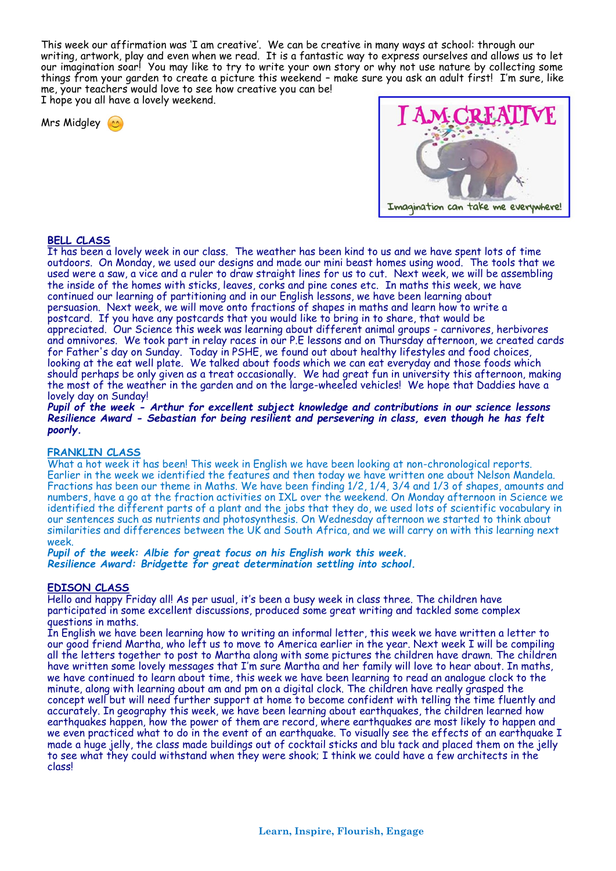This week our affirmation was 'I am creative'. We can be creative in many ways at school: through our writing, artwork, play and even when we read. It is a fantastic way to express ourselves and allows us to let our imagination soar! You may like to try to write your own story or why not use nature by collecting some things from your garden to create a picture this weekend – make sure you ask an adult first! I'm sure, like me, your teachers would love to see how creative you can be!

I hope you all have a lovely weekend.

Mrs Midgley



## **BELL CLASS**

It has been a lovely week in our class. The weather has been kind to us and we have spent lots of time outdoors. On Monday, we used our designs and made our mini beast homes using wood. The tools that we used were a saw, a vice and a ruler to draw straight lines for us to cut. Next week, we will be assembling the inside of the homes with sticks, leaves, corks and pine cones etc. In maths this week, we have continued our learning of partitioning and in our English lessons, we have been learning about persuasion. Next week, we will move onto fractions of shapes in maths and learn how to write a postcard. If you have any postcards that you would like to bring in to share, that would be appreciated. Our Science this week was learning about different animal groups - carnivores, herbivores and omnivores. We took part in relay races in our P.E lessons and on Thursday afternoon, we created cards for Father's day on Sunday. Today in PSHE, we found out about healthy lifestyles and food choices, looking at the eat well plate. We talked about foods which we can eat everyday and those foods which should perhaps be only given as a treat occasionally. We had great fun in university this afternoon, making the most of the weather in the garden and on the large-wheeled vehicles! We hope that Daddies have a lovely day on Sunday!

*Pupil of the week - Arthur for excellent subject knowledge and contributions in our science lessons Resilience Award - Sebastian for being resilient and persevering in class, even though he has felt poorly.*

## **FRANKLIN CLASS**

What a hot week it has been! This week in English we have been looking at non-chronological reports. Earlier in the week we identified the features and then today we have written one about Nelson Mandela. Fractions has been our theme in Maths. We have been finding 1/2, 1/4, 3/4 and 1/3 of shapes, amounts and numbers, have a go at the fraction activities on IXL over the weekend. On Monday afternoon in Science we identified the different parts of a plant and the jobs that they do, we used lots of scientific vocabulary in our sentences such as nutrients and photosynthesis. On Wednesday afternoon we started to think about similarities and differences between the UK and South Africa, and we will carry on with this learning next week.

*Pupil of the week: Albie for great focus on his English work this week. Resilience Award: Bridgette for great determination settling into school.*

## **EDISON CLASS**

Hello and happy Friday all! As per usual, it's been a busy week in class three. The children have participated in some excellent discussions, produced some great writing and tackled some complex questions in maths.

In English we have been learning how to writing an informal letter, this week we have written a letter to our good friend Martha, who left us to move to America earlier in the year. Next week I will be compiling all the letters together to post to Martha along with some pictures the children have drawn. The children have written some lovely messages that I'm sure Martha and her family will love to hear about. In maths, we have continued to learn about time, this week we have been learning to read an analogue clock to the minute, along with learning about am and pm on a digital clock. The children have really grasped the concept well but will need further support at home to become confident with telling the time fluently and accurately. In geography this week, we have been learning about earthquakes, the children learned how earthquakes happen, how the power of them are record, where earthquakes are most likely to happen and we even practiced what to do in the event of an earthquake. To visually see the effects of an earthquake I made a huge jelly, the class made buildings out of cocktail sticks and blu tack and placed them on the jelly to see what they could withstand when they were shook; I think we could have a few architects in the class!